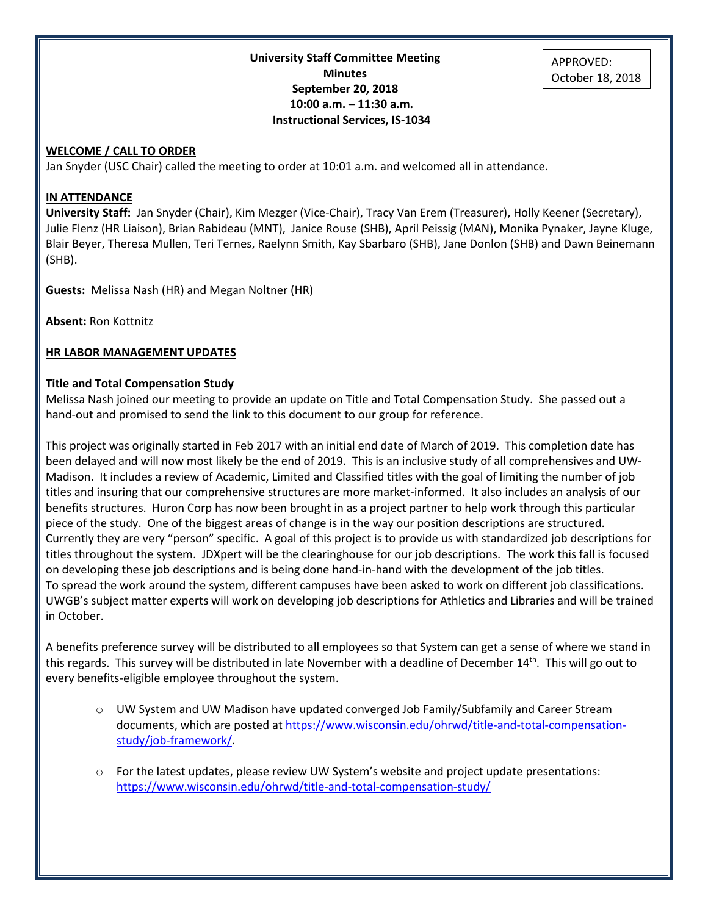**University Staff Committee Meeting Minutes September 20, 2018 10:00 a.m. – 11:30 a.m. Instructional Services, IS-1034**

#### **WELCOME / CALL TO ORDER**

Jan Snyder (USC Chair) called the meeting to order at 10:01 a.m. and welcomed all in attendance.

#### **IN ATTENDANCE**

**University Staff:** Jan Snyder (Chair), Kim Mezger (Vice-Chair), Tracy Van Erem (Treasurer), Holly Keener (Secretary), Julie Flenz (HR Liaison), Brian Rabideau (MNT), Janice Rouse (SHB), April Peissig (MAN), Monika Pynaker, Jayne Kluge, Blair Beyer, Theresa Mullen, Teri Ternes, Raelynn Smith, Kay Sbarbaro (SHB), Jane Donlon (SHB) and Dawn Beinemann (SHB).

**Guests:** Melissa Nash (HR) and Megan Noltner (HR)

**Absent:** Ron Kottnitz

#### **HR LABOR MANAGEMENT UPDATES**

#### **Title and Total Compensation Study**

Melissa Nash joined our meeting to provide an update on Title and Total Compensation Study. She passed out a hand-out and promised to send the link to this document to our group for reference.

This project was originally started in Feb 2017 with an initial end date of March of 2019. This completion date has been delayed and will now most likely be the end of 2019. This is an inclusive study of all comprehensives and UW-Madison. It includes a review of Academic, Limited and Classified titles with the goal of limiting the number of job titles and insuring that our comprehensive structures are more market-informed. It also includes an analysis of our benefits structures. Huron Corp has now been brought in as a project partner to help work through this particular piece of the study. One of the biggest areas of change is in the way our position descriptions are structured. Currently they are very "person" specific. A goal of this project is to provide us with standardized job descriptions for titles throughout the system. JDXpert will be the clearinghouse for our job descriptions. The work this fall is focused on developing these job descriptions and is being done hand-in-hand with the development of the job titles. To spread the work around the system, different campuses have been asked to work on different job classifications. UWGB's subject matter experts will work on developing job descriptions for Athletics and Libraries and will be trained in October.

A benefits preference survey will be distributed to all employees so that System can get a sense of where we stand in this regards. This survey will be distributed in late November with a deadline of December 14<sup>th</sup>. This will go out to every benefits-eligible employee throughout the system.

- o UW System and UW Madison have updated converged Job Family/Subfamily and Career Stream documents, which are posted at [https://www.wisconsin.edu/ohrwd/title-and-total-compensation](https://www.wisconsin.edu/ohrwd/title-and-total-compensation-study/job-framework/)[study/job-framework/.](https://www.wisconsin.edu/ohrwd/title-and-total-compensation-study/job-framework/)
- $\circ$  For the latest updates, please review UW System's website and project update presentations: <https://www.wisconsin.edu/ohrwd/title-and-total-compensation-study/>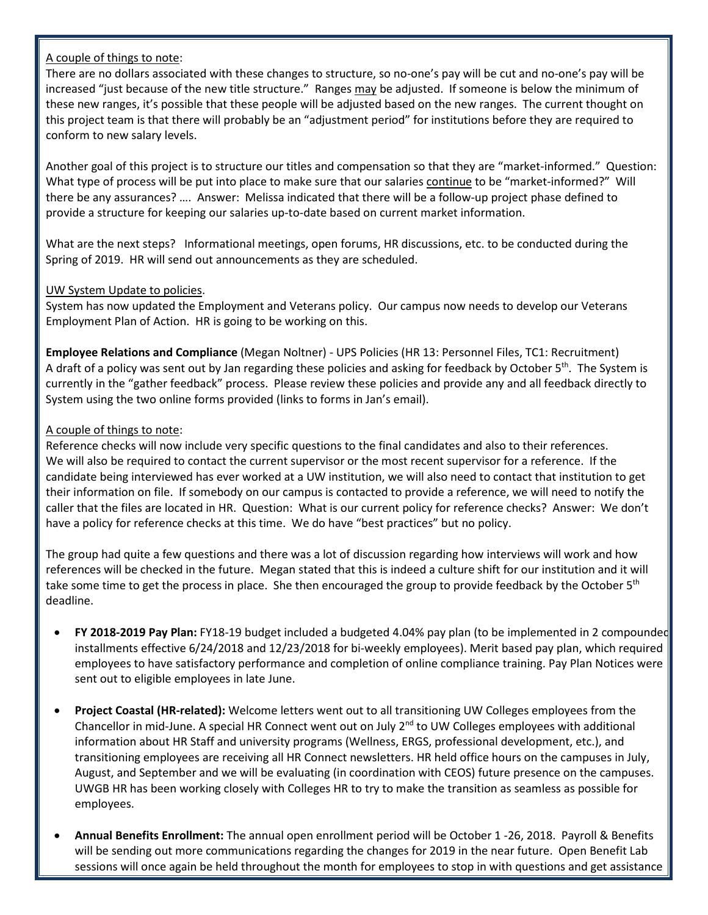## A couple of things to note:

There are no dollars associated with these changes to structure, so no-one's pay will be cut and no-one's pay will be increased "just because of the new title structure." Ranges may be adjusted. If someone is below the minimum of these new ranges, it's possible that these people will be adjusted based on the new ranges. The current thought on this project team is that there will probably be an "adjustment period" for institutions before they are required to conform to new salary levels.

Another goal of this project is to structure our titles and compensation so that they are "market-informed." Question: What type of process will be put into place to make sure that our salaries continue to be "market-informed?" Will there be any assurances? …. Answer: Melissa indicated that there will be a follow-up project phase defined to provide a structure for keeping our salaries up-to-date based on current market information.

What are the next steps? Informational meetings, open forums, HR discussions, etc. to be conducted during the Spring of 2019. HR will send out announcements as they are scheduled.

## UW System Update to policies.

System has now updated the Employment and Veterans policy. Our campus now needs to develop our Veterans Employment Plan of Action. HR is going to be working on this.

**Employee Relations and Compliance** (Megan Noltner) - UPS Policies (HR 13: Personnel Files, TC1: Recruitment) A draft of a policy was sent out by Jan regarding these policies and asking for feedback by October 5<sup>th</sup>. The System is currently in the "gather feedback" process. Please review these policies and provide any and all feedback directly to System using the two online forms provided (links to forms in Jan's email).

## A couple of things to note:

Reference checks will now include very specific questions to the final candidates and also to their references. We will also be required to contact the current supervisor or the most recent supervisor for a reference. If the candidate being interviewed has ever worked at a UW institution, we will also need to contact that institution to get their information on file. If somebody on our campus is contacted to provide a reference, we will need to notify the caller that the files are located in HR. Question: What is our current policy for reference checks? Answer: We don't have a policy for reference checks at this time. We do have "best practices" but no policy.

The group had quite a few questions and there was a lot of discussion regarding how interviews will work and how references will be checked in the future. Megan stated that this is indeed a culture shift for our institution and it will take some time to get the process in place. She then encouraged the group to provide feedback by the October  $5<sup>th</sup>$ deadline.

- **FY 2018-2019 Pay Plan:** FY18-19 budget included a budgeted 4.04% pay plan (to be implemented in 2 compounded installments effective 6/24/2018 and 12/23/2018 for bi-weekly employees). Merit based pay plan, which required employees to have satisfactory performance and completion of online compliance training. Pay Plan Notices were sent out to eligible employees in late June.
- **Project Coastal (HR-related):** Welcome letters went out to all transitioning UW Colleges employees from the Chancellor in mid-June. A special HR Connect went out on July  $2^{nd}$  to UW Colleges employees with additional information about HR Staff and university programs (Wellness, ERGS, professional development, etc.), and transitioning employees are receiving all HR Connect newsletters. HR held office hours on the campuses in July, August, and September and we will be evaluating (in coordination with CEOS) future presence on the campuses. UWGB HR has been working closely with Colleges HR to try to make the transition as seamless as possible for employees.
- **Annual Benefits Enrollment:** The annual open enrollment period will be October 1 -26, 2018. Payroll & Benefits will be sending out more communications regarding the changes for 2019 in the near future. Open Benefit Lab sessions will once again be held throughout the month for employees to stop in with questions and get assistance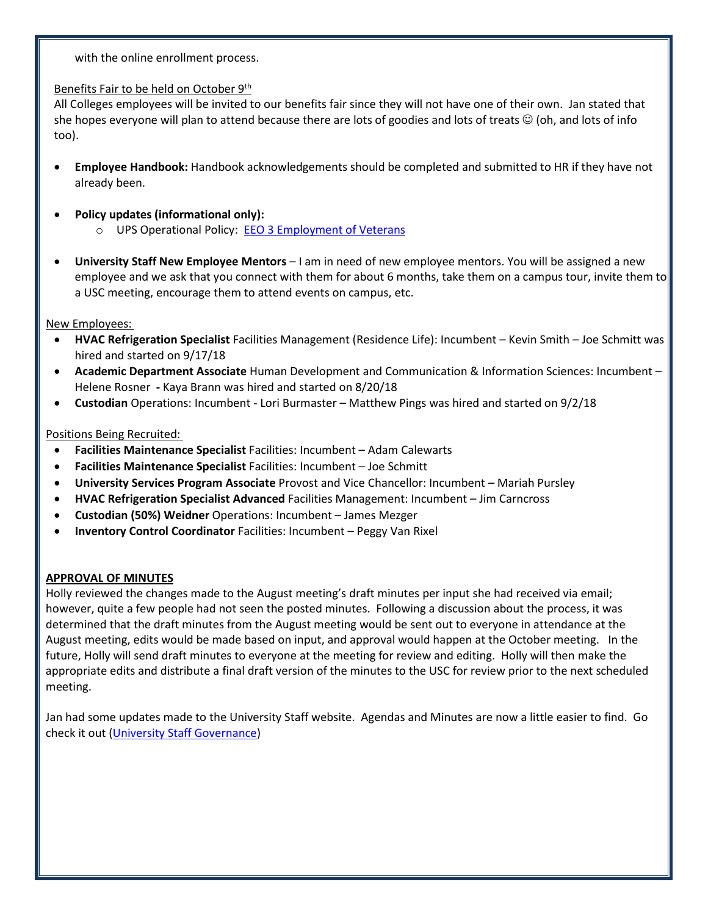with the online enrollment process.

## Benefits Fair to be held on October 9<sup>th</sup>

All Colleges employees will be invited to our benefits fair since they will not have one of their own. Jan stated that she hopes everyone will plan to attend because there are lots of goodies and lots of treats  $\odot$  (oh, and lots of info too).

- **Employee Handbook:** Handbook acknowledgements should be completed and submitted to HR if they have not already been.
- **Policy updates (informational only):**  o UPS Operational Policy: [EEO 3 Employment of Veterans](https://www.wisconsin.edu/ohrwd/download/policies/ops/eeo3.pdf)
- **University Staff New Employee Mentors** I am in need of new employee mentors. You will be assigned a new employee and we ask that you connect with them for about 6 months, take them on a campus tour, invite them to a USC meeting, encourage them to attend events on campus, etc.

New Employees:

- **HVAC Refrigeration Specialist** Facilities Management (Residence Life): Incumbent Kevin Smith Joe Schmitt was hired and started on 9/17/18
- **Academic Department Associate** Human Development and Communication & Information Sciences: Incumbent Helene Rosner **-** Kaya Brann was hired and started on 8/20/18
- **Custodian** Operations: Incumbent Lori Burmaster Matthew Pings was hired and started on 9/2/18

## Positions Being Recruited:

- **Facilities Maintenance Specialist** Facilities: Incumbent Adam Calewarts
- **Facilities Maintenance Specialist** Facilities: Incumbent Joe Schmitt
- **University Services Program Associate** Provost and Vice Chancellor: Incumbent Mariah Pursley
- **HVAC Refrigeration Specialist Advanced** Facilities Management: Incumbent Jim Carncross
- **Custodian (50%) Weidner** Operations: Incumbent James Mezger
- **Inventory Control Coordinator** Facilities: Incumbent Peggy Van Rixel

# **APPROVAL OF MINUTES**

Holly reviewed the changes made to the August meeting's draft minutes per input she had received via email; however, quite a few people had not seen the posted minutes. Following a discussion about the process, it was determined that the draft minutes from the August meeting would be sent out to everyone in attendance at the August meeting, edits would be made based on input, and approval would happen at the October meeting. In the future, Holly will send draft minutes to everyone at the meeting for review and editing. Holly will then make the appropriate edits and distribute a final draft version of the minutes to the USC for review prior to the next scheduled meeting.

Jan had some updates made to the University Staff website. Agendas and Minutes are now a little easier to find. Go check it out [\(University Staff Governance\)](http://www.uwgb.edu/university-staff-governance/university-staff-committee/agendas-minutes-(1)/)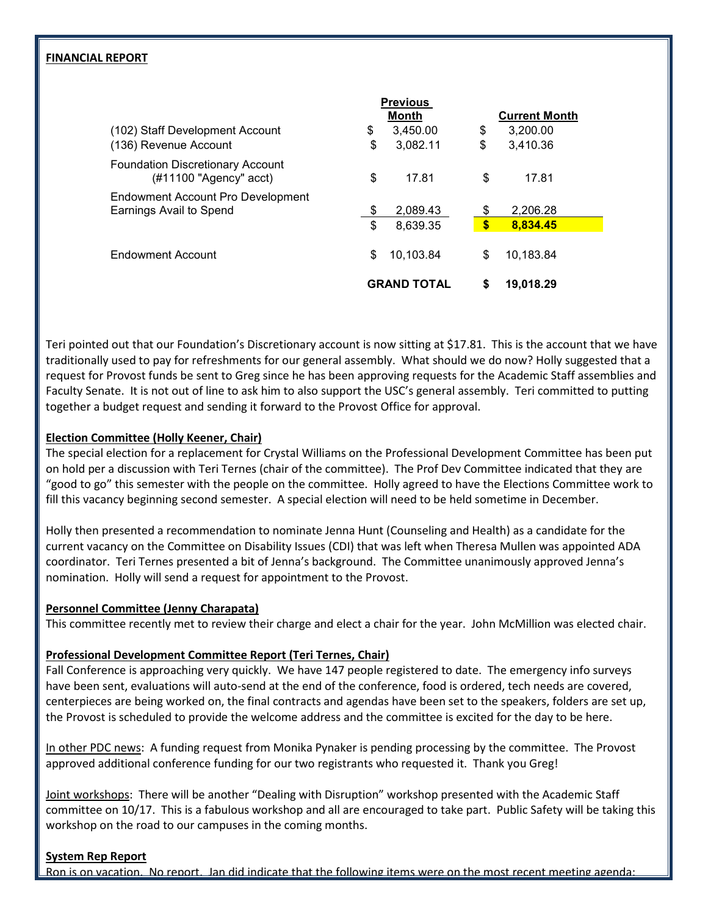#### **FINANCIAL REPORT**

|                                                                      |                    | <b>Previous</b> |                      |           |  |
|----------------------------------------------------------------------|--------------------|-----------------|----------------------|-----------|--|
|                                                                      | <b>Month</b>       |                 | <b>Current Month</b> |           |  |
| (102) Staff Development Account                                      | \$                 | 3,450.00        | \$                   | 3,200.00  |  |
| (136) Revenue Account                                                | \$                 | 3,082.11        | \$                   | 3,410.36  |  |
| <b>Foundation Discretionary Account</b><br>$(\#11100$ "Agency" acct) | \$                 | 17.81           | \$                   | 17.81     |  |
| Endowment Account Pro Development<br>Earnings Avail to Spend         | \$                 | 2,089.43        | \$                   | 2,206.28  |  |
|                                                                      | \$                 | 8,639.35        | $\boldsymbol{s}$     | 8,834.45  |  |
| Endowment Account                                                    | \$                 | 10.103.84       | \$                   | 10,183.84 |  |
|                                                                      | <b>GRAND TOTAL</b> |                 | \$                   | 19,018.29 |  |

Teri pointed out that our Foundation's Discretionary account is now sitting at \$17.81. This is the account that we have traditionally used to pay for refreshments for our general assembly. What should we do now? Holly suggested that a request for Provost funds be sent to Greg since he has been approving requests for the Academic Staff assemblies and Faculty Senate. It is not out of line to ask him to also support the USC's general assembly. Teri committed to putting together a budget request and sending it forward to the Provost Office for approval.

## **Election Committee (Holly Keener, Chair)**

The special election for a replacement for Crystal Williams on the Professional Development Committee has been put on hold per a discussion with Teri Ternes (chair of the committee). The Prof Dev Committee indicated that they are "good to go" this semester with the people on the committee. Holly agreed to have the Elections Committee work to fill this vacancy beginning second semester. A special election will need to be held sometime in December.

Holly then presented a recommendation to nominate Jenna Hunt (Counseling and Health) as a candidate for the current vacancy on the Committee on Disability Issues (CDI) that was left when Theresa Mullen was appointed ADA coordinator. Teri Ternes presented a bit of Jenna's background. The Committee unanimously approved Jenna's nomination. Holly will send a request for appointment to the Provost.

## **Personnel Committee (Jenny Charapata)**

This committee recently met to review their charge and elect a chair for the year. John McMillion was elected chair.

# **Professional Development Committee Report (Teri Ternes, Chair)**

Fall Conference is approaching very quickly. We have 147 people registered to date. The emergency info surveys have been sent, evaluations will auto-send at the end of the conference, food is ordered, tech needs are covered, centerpieces are being worked on, the final contracts and agendas have been set to the speakers, folders are set up, the Provost is scheduled to provide the welcome address and the committee is excited for the day to be here.

In other PDC news: A funding request from Monika Pynaker is pending processing by the committee. The Provost approved additional conference funding for our two registrants who requested it. Thank you Greg!

Joint workshops: There will be another "Dealing with Disruption" workshop presented with the Academic Staff committee on 10/17. This is a fabulous workshop and all are encouraged to take part. Public Safety will be taking this workshop on the road to our campuses in the coming months.

## **System Rep Report**

Ron is on vacation. No report. Jan did indicate that the following items were on the most recent meeting agenda: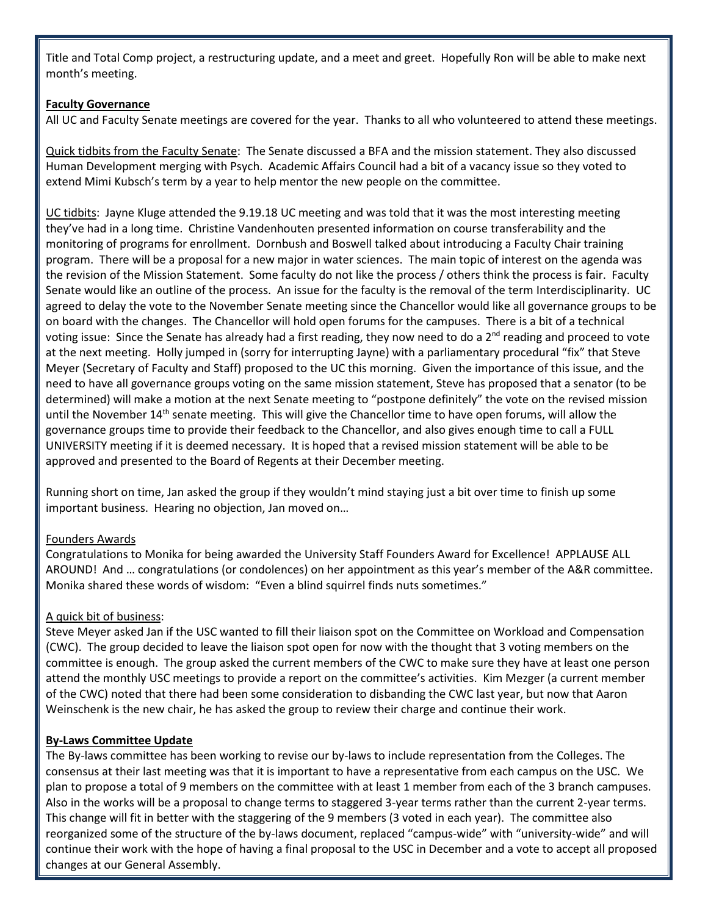Title and Total Comp project, a restructuring update, and a meet and greet. Hopefully Ron will be able to make next month's meeting.

## **Faculty Governance**

All UC and Faculty Senate meetings are covered for the year. Thanks to all who volunteered to attend these meetings.

Quick tidbits from the Faculty Senate: The Senate discussed a BFA and the mission statement. They also discussed Human Development merging with Psych. Academic Affairs Council had a bit of a vacancy issue so they voted to extend Mimi Kubsch's term by a year to help mentor the new people on the committee.

UC tidbits: Jayne Kluge attended the 9.19.18 UC meeting and was told that it was the most interesting meeting they've had in a long time. Christine Vandenhouten presented information on course transferability and the monitoring of programs for enrollment. Dornbush and Boswell talked about introducing a Faculty Chair training program. There will be a proposal for a new major in water sciences. The main topic of interest on the agenda was the revision of the Mission Statement. Some faculty do not like the process / others think the process is fair. Faculty Senate would like an outline of the process. An issue for the faculty is the removal of the term Interdisciplinarity. UC agreed to delay the vote to the November Senate meeting since the Chancellor would like all governance groups to be on board with the changes. The Chancellor will hold open forums for the campuses. There is a bit of a technical voting issue: Since the Senate has already had a first reading, they now need to do a 2<sup>nd</sup> reading and proceed to vote at the next meeting. Holly jumped in (sorry for interrupting Jayne) with a parliamentary procedural "fix" that Steve Meyer (Secretary of Faculty and Staff) proposed to the UC this morning. Given the importance of this issue, and the need to have all governance groups voting on the same mission statement, Steve has proposed that a senator (to be determined) will make a motion at the next Senate meeting to "postpone definitely" the vote on the revised mission until the November 14<sup>th</sup> senate meeting. This will give the Chancellor time to have open forums, will allow the governance groups time to provide their feedback to the Chancellor, and also gives enough time to call a FULL UNIVERSITY meeting if it is deemed necessary. It is hoped that a revised mission statement will be able to be approved and presented to the Board of Regents at their December meeting.

Running short on time, Jan asked the group if they wouldn't mind staying just a bit over time to finish up some important business. Hearing no objection, Jan moved on…

## Founders Awards

Congratulations to Monika for being awarded the University Staff Founders Award for Excellence! APPLAUSE ALL AROUND! And … congratulations (or condolences) on her appointment as this year's member of the A&R committee. Monika shared these words of wisdom: "Even a blind squirrel finds nuts sometimes."

# A quick bit of business:

Steve Meyer asked Jan if the USC wanted to fill their liaison spot on the Committee on Workload and Compensation (CWC). The group decided to leave the liaison spot open for now with the thought that 3 voting members on the committee is enough. The group asked the current members of the CWC to make sure they have at least one person attend the monthly USC meetings to provide a report on the committee's activities. Kim Mezger (a current member of the CWC) noted that there had been some consideration to disbanding the CWC last year, but now that Aaron Weinschenk is the new chair, he has asked the group to review their charge and continue their work.

## **By-Laws Committee Update**

The By-laws committee has been working to revise our by-laws to include representation from the Colleges. The consensus at their last meeting was that it is important to have a representative from each campus on the USC. We plan to propose a total of 9 members on the committee with at least 1 member from each of the 3 branch campuses. Also in the works will be a proposal to change terms to staggered 3-year terms rather than the current 2-year terms. This change will fit in better with the staggering of the 9 members (3 voted in each year). The committee also reorganized some of the structure of the by-laws document, replaced "campus-wide" with "university-wide" and will continue their work with the hope of having a final proposal to the USC in December and a vote to accept all proposed changes at our General Assembly.